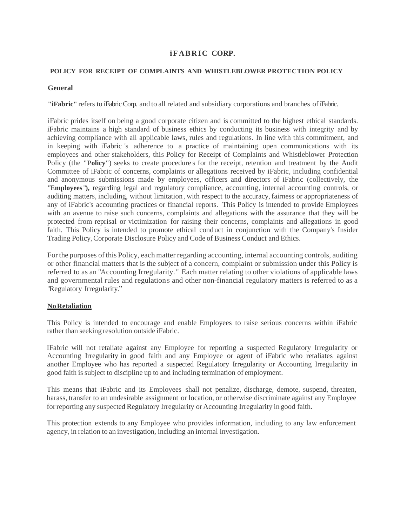# **i F A B R I C CORP.**

## **POLICY FOR RECEIPT OF COMPLAINTS AND WHISTLEBLOWER PROTECTION POLICY**

### **General**

**"iFabric"** refers to iFabric Corp. and to all related and subsidiary corporations and branches of iFabric.

iFabric prides itself on being a good corporate citizen and is committed to the highest ethical standards. iFabric maintains a high standard of business ethics by conducting its business with integrity and by achieving compliance with all applicable laws, rules and regulations. In line with this commitment, and in keeping with iFabric 's adherence to a practice of maintaining open communications with its employees and other stakeholders, this Policy for Receipt of Complaints and Whistleblower Protection Policy (the **"Policy")** seeks to create procedure s for the receipt, retention and treatment by the Audit Committee of iFabric of concerns, complaints or allegations received by iFabric, including confidential and anonymous submissions made by employees, officers and directors of iFabric (collectively, the **"Employees"),** regarding legal and regulatory compliance, accounting, internal accounting controls, or auditing matters, including, without limitation, with respect to the accuracy, fairness or appropriateness of any of iFabric's accounting practices or financial reports. This Policy is intended to provide Employees with an avenue to raise such concerns, complaints and allegations with the assurance that they will be protected from reprisal or victimization for raising their concerns, complaints and allegations in good faith. This Policy is intended to promote ethical conduct in conjunction with the Company's Insider Trading Policy,Corporate Disclosure Policy and Code of Business Conduct and Ethics.

Forthe purposes ofthis Policy, each matter regarding accounting, internal accounting controls, auditing or other financial matters that is the subject of a concern, complaint or submission under this Policy is referred to as an "Accounting Irregularity." Each matter relating to other violations of applicable laws and governmental rules and regulations and other non-financial regulatory matters is referred to as a "Regulatory Irregularity."

## **NoRetaliation**

This Policy is intended to encourage and enable Employees to raise serious concerns within iFabric rather than seeking resolution outside iFabric.

IFabric will not retaliate against any Employee for reporting a suspected Regulatory Irregularity or Accounting Irregularity in good faith and any Employee or agent of iFabric who retaliates against another Employee who has reported a suspected Regulatory Irregularity or Accounting Irregularity in good faith issubject to discipline up to and including termination of employment.

This means that iFabric and its Employees shall not penalize, discharge, demote, suspend, threaten, harass, transfer to an undesirable assignment or location, or otherwise discriminate against any Employee forreporting any suspected Regulatory Irregularity or Accounting Irregularity in good faith.

This protection extends to any Employee who provides information, including to any law enforcement agency, in relation to an investigation, including an internal investigation.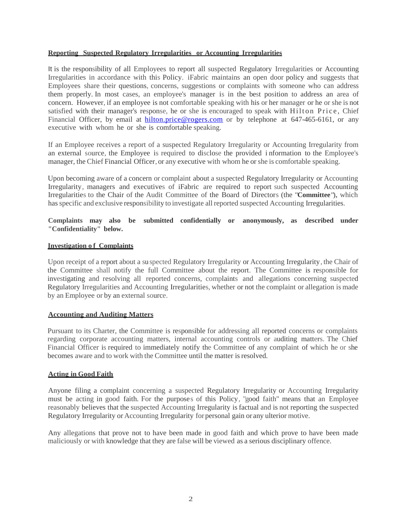#### **Reporting Suspected Regulatory Irregularities or Accounting Irregularities**

It is the responsibility of all Employees to report all suspected Regulatory Irregularities or Accounting Irregularities in accordance with this Policy. iFabric maintains an open door policy and suggests that Employees share their questions, concerns, suggestions or complaints with someone who can address them properly. In most cases, an employee's manager is in the best position to address an area of concern. However, if an employee is not comfortable speaking with his or her manager or he or she is not satisfied with their manager's response, he or she is encouraged to speak with Hilton Price, Chief Financial Officer, by email at [hilton.price@rogers.com](mailto:hilton.price@rogers.com) or by telephone at 647-465-6161, or any executive with whom he or she is comfortable speaking.

If an Employee receives a report of a suspected Regulatory Irregularity or Accounting Irregularity from an external source, the Employee is required to disclose the provided i nformation to the Employee's manager, the Chief Financial Officer, or any executive with whom he or she is comfortable speaking.

Upon becoming aware of a concern or complaint about a suspected Regulatory Irregularity or Accounting Irregularity, managers and executives of iFabric are required to report such suspected Accounting Irregularities to the Chair of the Audit Committee of the Board of Directors (the **"Committee"),** which hasspecific and exclusive responsibility to investigate all reported suspected Accounting Irregularities.

## **Complaints may also be submitted confidentially or anonymously, as described under "Confidentiality" below.**

### **Investigation o f Complaints**

Upon receipt of a report about a suspected Regulatory Irregularity or Accounting Irregularity, the Chair of the Committee shall notify the full Committee about the report. The Committee is responsible for investigating and resolving all reported concerns, complaints and allegations concerning suspected Regulatory Irregularities and Accounting Irregularities, whether or not the complaint or allegation is made by an Employee or by an external source.

# **Accounting and Auditing Matters**

Pursuant to its Charter, the Committee is responsible for addressing all reported concerns or complaints regarding corporate accounting matters, internal accounting controls or auditing matters. The Chief Financial Officer is required to immediately notify the Committee of any complaint of which he or she becomes aware and to work with the Committee until the matter is resolved.

#### **Acting in Good Faith**

Anyone filing a complaint concerning a suspected Regulatory Irregularity or Accounting Irregularity must be acting in good faith. For the purposes of this Policy, "good faith" means that an Employee reasonably believes that the suspected Accounting Irregularity is factual and is not reporting the suspected Regulatory Irregularity or Accounting Irregularity for personal gain or any ulterior motive.

Any allegations that prove not to have been made in good faith and which prove to have been made maliciously or with knowledge that they are false will be viewed as a serious disciplinary offence.